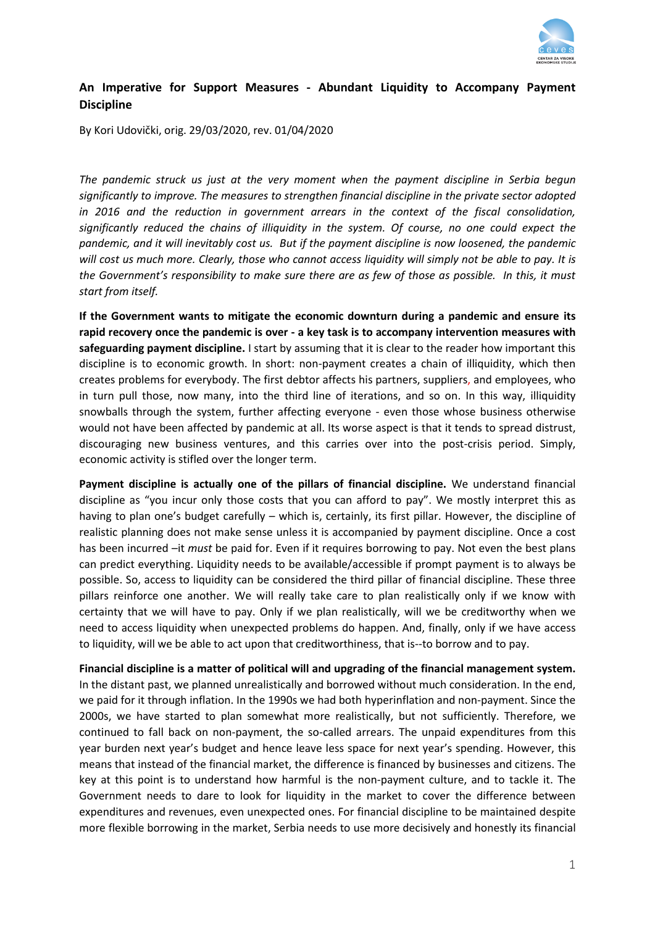

## **An Imperative for Support Measures - Abundant Liquidity to Accompany Payment Discipline**

By Kori Udovički, orig. 29/03/2020, rev. 01/04/2020

*The pandemic struck us just at the very moment when the payment discipline in Serbia begun significantly to improve. The measures to strengthen financial discipline in the private sector adopted in 2016 and the reduction in government arrears in the context of the fiscal consolidation, significantly reduced the chains of illiquidity in the system. Of course, no one could expect the pandemic, and it will inevitably cost us. But if the payment discipline is now loosened, the pandemic will cost us much more. Clearly, those who cannot access liquidity will simply not be able to pay. It is the Government's responsibility to make sure there are as few of those as possible. In this, it must start from itself.* 

**If the Government wants to mitigate the economic downturn during a pandemic and ensure its rapid recovery once the pandemic is over - a key task is to accompany intervention measures with safeguarding payment discipline.** I start by assuming that it is clear to the reader how important this discipline is to economic growth. In short: non-payment creates a chain of illiquidity, which then creates problems for everybody. The first debtor affects his partners, suppliers, and employees, who in turn pull those, now many, into the third line of iterations, and so on. In this way, illiquidity snowballs through the system, further affecting everyone - even those whose business otherwise would not have been affected by pandemic at all. Its worse aspect is that it tends to spread distrust, discouraging new business ventures, and this carries over into the post-crisis period. Simply, economic activity is stifled over the longer term.

**Payment discipline is actually one of the pillars of financial discipline.** We understand financial discipline as "you incur only those costs that you can afford to pay". We mostly interpret this as having to plan one's budget carefully – which is, certainly, its first pillar. However, the discipline of realistic planning does not make sense unless it is accompanied by payment discipline. Once a cost has been incurred –it *must* be paid for. Even if it requires borrowing to pay. Not even the best plans can predict everything. Liquidity needs to be available/accessible if prompt payment is to always be possible. So, access to liquidity can be considered the third pillar of financial discipline. These three pillars reinforce one another. We will really take care to plan realistically only if we know with certainty that we will have to pay. Only if we plan realistically, will we be creditworthy when we need to access liquidity when unexpected problems do happen. And, finally, only if we have access to liquidity, will we be able to act upon that creditworthiness, that is--to borrow and to pay.

**Financial discipline is a matter of political will and upgrading of the financial management system.** In the distant past, we planned unrealistically and borrowed without much consideration. In the end, we paid for it through inflation. In the 1990s we had both hyperinflation and non-payment. Since the 2000s, we have started to plan somewhat more realistically, but not sufficiently. Therefore, we continued to fall back on non-payment, the so-called arrears. The unpaid expenditures from this year burden next year's budget and hence leave less space for next year's spending. However, this means that instead of the financial market, the difference is financed by businesses and citizens. The key at this point is to understand how harmful is the non-payment culture, and to tackle it. The Government needs to dare to look for liquidity in the market to cover the difference between expenditures and revenues, even unexpected ones. For financial discipline to be maintained despite more flexible borrowing in the market, Serbia needs to use more decisively and honestly its financial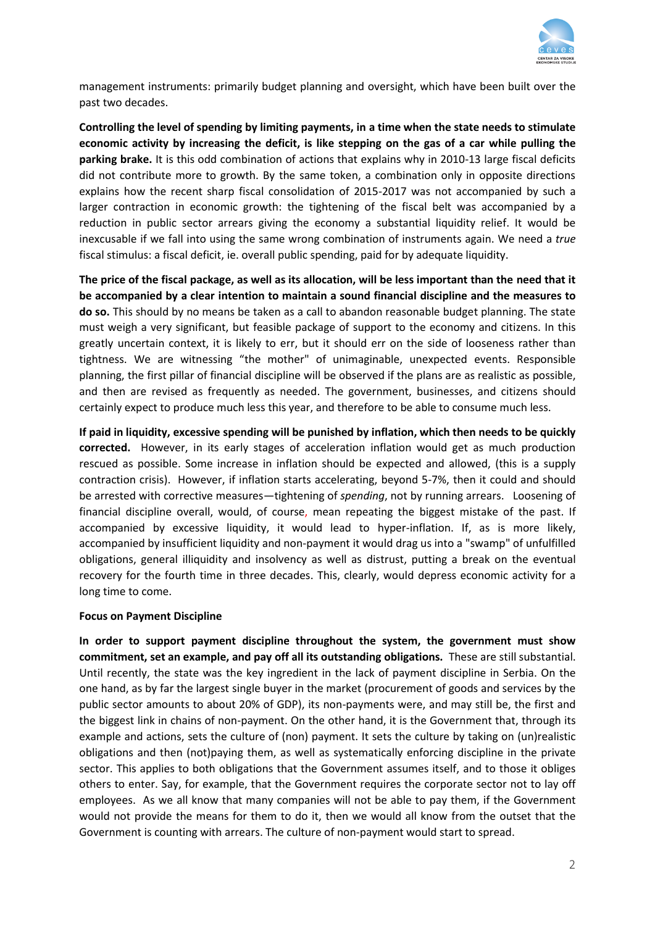

management instruments: primarily budget planning and oversight, which have been built over the past two decades.

**Controlling the level of spending by limiting payments, in a time when the state needs to stimulate economic activity by increasing the deficit, is like stepping on the gas of a car while pulling the parking brake.** It is this odd combination of actions that explains why in 2010-13 large fiscal deficits did not contribute more to growth. By the same token, a combination only in opposite directions explains how the recent sharp fiscal consolidation of 2015-2017 was not accompanied by such a larger contraction in economic growth: the tightening of the fiscal belt was accompanied by a reduction in public sector arrears giving the economy a substantial liquidity relief. It would be inexcusable if we fall into using the same wrong combination of instruments again. We need a *true* fiscal stimulus: a fiscal deficit, ie. overall public spending, paid for by adequate liquidity.

**The price of the fiscal package, as well as its allocation, will be less important than the need that it be accompanied by a clear intention to maintain a sound financial discipline and the measures to do so.** This should by no means be taken as a call to abandon reasonable budget planning. The state must weigh a very significant, but feasible package of support to the economy and citizens. In this greatly uncertain context, it is likely to err, but it should err on the side of looseness rather than tightness. We are witnessing "the mother" of unimaginable, unexpected events. Responsible planning, the first pillar of financial discipline will be observed if the plans are as realistic as possible, and then are revised as frequently as needed. The government, businesses, and citizens should certainly expect to produce much less this year, and therefore to be able to consume much less.

**If paid in liquidity, excessive spending will be punished by inflation, which then needs to be quickly corrected.** However, in its early stages of acceleration inflation would get as much production rescued as possible. Some increase in inflation should be expected and allowed, (this is a supply contraction crisis). However, if inflation starts accelerating, beyond 5-7%, then it could and should be arrested with corrective measures—tightening of *spending*, not by running arrears. Loosening of financial discipline overall, would, of course, mean repeating the biggest mistake of the past. If accompanied by excessive liquidity, it would lead to hyper-inflation. If, as is more likely, accompanied by insufficient liquidity and non-payment it would drag us into a "swamp" of unfulfilled obligations, general illiquidity and insolvency as well as distrust, putting a break on the eventual recovery for the fourth time in three decades. This, clearly, would depress economic activity for a long time to come.

## **Focus on Payment Discipline**

**In order to support payment discipline throughout the system, the government must show commitment, set an example, and pay off all its outstanding obligations.** These are still substantial. Until recently, the state was the key ingredient in the lack of payment discipline in Serbia. On the one hand, as by far the largest single buyer in the market (procurement of goods and services by the public sector amounts to about 20% of GDP), its non-payments were, and may still be, the first and the biggest link in chains of non-payment. On the other hand, it is the Government that, through its example and actions, sets the culture of (non) payment. It sets the culture by taking on (un)realistic obligations and then (not)paying them, as well as systematically enforcing discipline in the private sector. This applies to both obligations that the Government assumes itself, and to those it obliges others to enter. Say, for example, that the Government requires the corporate sector not to lay off employees. As we all know that many companies will not be able to pay them, if the Government would not provide the means for them to do it, then we would all know from the outset that the Government is counting with arrears. The culture of non-payment would start to spread.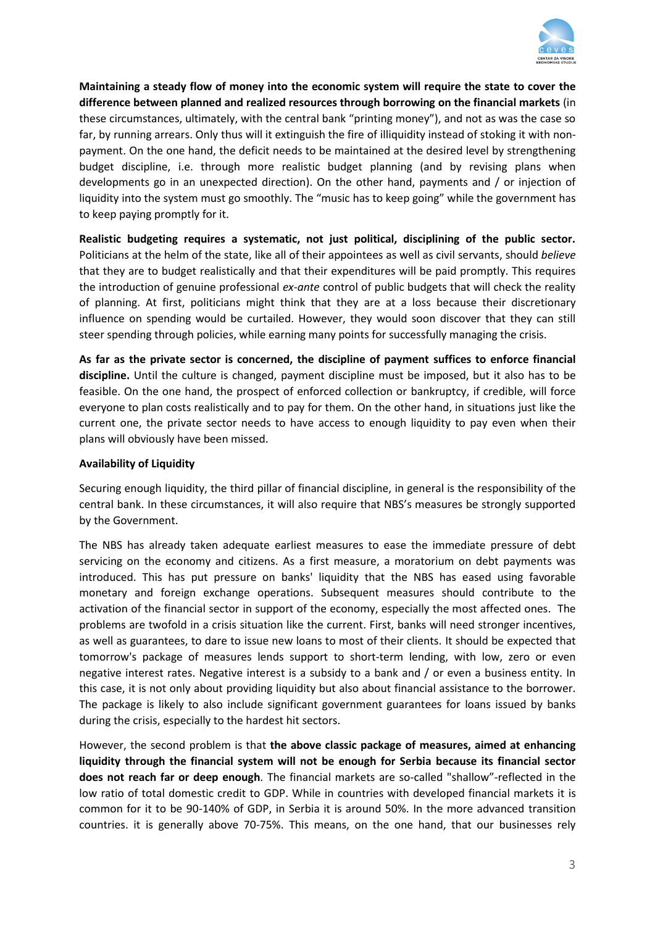

**Maintaining a steady flow of money into the economic system will require the state to cover the difference between planned and realized resources through borrowing on the financial markets** (in these circumstances, ultimately, with the central bank "printing money"), and not as was the case so far, by running arrears. Only thus will it extinguish the fire of illiquidity instead of stoking it with nonpayment. On the one hand, the deficit needs to be maintained at the desired level by strengthening budget discipline, i.e. through more realistic budget planning (and by revising plans when developments go in an unexpected direction). On the other hand, payments and / or injection of liquidity into the system must go smoothly. The "music has to keep going" while the government has to keep paying promptly for it.

**Realistic budgeting requires a systematic, not just political, disciplining of the public sector.** Politicians at the helm of the state, like all of their appointees as well as civil servants, should *believe* that they are to budget realistically and that their expenditures will be paid promptly. This requires the introduction of genuine professional *ex-ante* control of public budgets that will check the reality of planning. At first, politicians might think that they are at a loss because their discretionary influence on spending would be curtailed. However, they would soon discover that they can still steer spending through policies, while earning many points for successfully managing the crisis.

**As far as the private sector is concerned, the discipline of payment suffices to enforce financial discipline.** Until the culture is changed, payment discipline must be imposed, but it also has to be feasible. On the one hand, the prospect of enforced collection or bankruptcy, if credible, will force everyone to plan costs realistically and to pay for them. On the other hand, in situations just like the current one, the private sector needs to have access to enough liquidity to pay even when their plans will obviously have been missed.

## **Availability of Liquidity**

Securing enough liquidity, the third pillar of financial discipline, in general is the responsibility of the central bank. In these circumstances, it will also require that NBS's measures be strongly supported by the Government.

The NBS has already taken adequate earliest measures to ease the immediate pressure of debt servicing on the economy and citizens. As a first measure, a moratorium on debt payments was introduced. This has put pressure on banks' liquidity that the NBS has eased using favorable monetary and foreign exchange operations. Subsequent measures should contribute to the activation of the financial sector in support of the economy, especially the most affected ones. The problems are twofold in a crisis situation like the current. First, banks will need stronger incentives, as well as guarantees, to dare to issue new loans to most of their clients. It should be expected that tomorrow's package of measures lends support to short-term lending, with low, zero or even negative interest rates. Negative interest is a subsidy to a bank and / or even a business entity. In this case, it is not only about providing liquidity but also about financial assistance to the borrower. The package is likely to also include significant government guarantees for loans issued by banks during the crisis, especially to the hardest hit sectors.

However, the second problem is that **the above classic package of measures, aimed at enhancing liquidity through the financial system will not be enough for Serbia because its financial sector does not reach far or deep enough**. The financial markets are so-called "shallow"-reflected in the low ratio of total domestic credit to GDP. While in countries with developed financial markets it is common for it to be 90-140% of GDP, in Serbia it is around 50%. In the more advanced transition countries. it is generally above 70-75%. This means, on the one hand, that our businesses rely